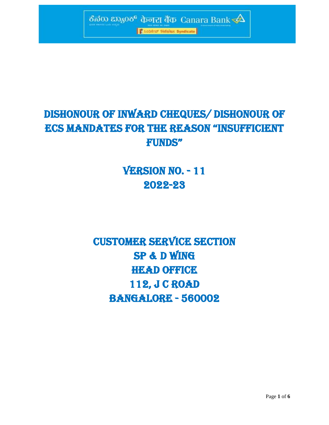

# DISHONOUR OF INWARD CHEQUES/ DISHONOUR OF ECS MANDATES FOR THE REASON "INSUFFICIENT FUNDS"

# **VERSION NO. - 11** 2022-23

CUSTOMER SERVICE SECTION SP & D Wing HEAD OFFICE 112, J C ROAD BANGALORE - 560002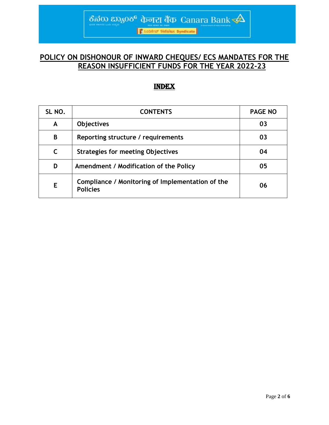**K** Louiseuf finfiliaiz Syndicate

ಕೆನರು ಬ್ಯಾಂಕ್ фார் बैंक Canara Bank

## **POLICY ON DISHONOUR OF INWARD CHEQUES/ ECS MANDATES FOR THE REASON INSUFFICIENT FUNDS FOR THE YEAR 2022-23**

### INDEX

| SL NO. | <b>CONTENTS</b>                                                     | <b>PAGE NO</b> |
|--------|---------------------------------------------------------------------|----------------|
| A      | <b>Objectives</b>                                                   | 03             |
| B      | Reporting structure / requirements                                  | 03             |
| C      | <b>Strategies for meeting Objectives</b>                            | 04             |
| D      | Amendment / Modification of the Policy                              | 05             |
| E      | Compliance / Monitoring of Implementation of the<br><b>Policies</b> | 06             |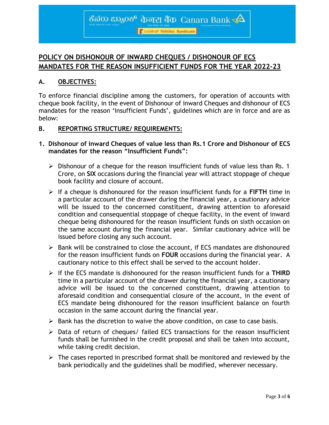# ಕೆನೆರು ಬ್ಯಾಂಕ್ केनरा बैंक Canara Bank  $\triangleleft$

**Cacadeur finalize Syndicate** 

## **POLICY ON DISHONOUR OF INWARD CHEQUES / DISHONOUR OF ECS MANDATES FOR THE REASON INSUFFICIENT FUNDS FOR THE YEAR 2022-23**

#### **A. OBJECTIVES:**

To enforce financial discipline among the customers, for operation of accounts with cheque book facility, in the event of Dishonour of inward Cheques and dishonour of ECS mandates for the reason 'Insufficient Funds', guidelines which are in force and are as below:

#### **B. REPORTING STRUCTURE/ REQUIREMENTS:**

- **1. Dishonour of inward Cheques of value less than Rs.1 Crore and Dishonour of ECS mandates for the reason "Insufficient Funds":**
	- $\triangleright$  Dishonour of a cheque for the reason insufficient funds of value less than Rs. 1 Crore, on **SIX** occasions during the financial year will attract stoppage of cheque book facility and closure of account.
	- If a cheque is dishonoured for the reason insufficient funds for a **FIFTH** time in a particular account of the drawer during the financial year, a cautionary advice will be issued to the concerned constituent, drawing attention to aforesaid condition and consequential stoppage of cheque facility, in the event of inward cheque being dishonoured for the reason insufficient funds on sixth occasion on the same account during the financial year. Similar cautionary advice will be issued before closing any such account.
	- $\triangleright$  Bank will be constrained to close the account, if ECS mandates are dishonoured for the reason insufficient funds on **FOUR** occasions during the financial year. A cautionary notice to this effect shall be served to the account holder.
	- If the ECS mandate is dishonoured for the reason insufficient funds for a **THIRD** time in a particular account of the drawer during the financial year, a cautionary advice will be issued to the concerned constituent, drawing attention to aforesaid condition and consequential closure of the account, in the event of ECS mandate being dishonoured for the reason insufficient balance on fourth occasion in the same account during the financial year.
	- $\triangleright$  Bank has the discretion to waive the above condition, on case to case basis.
	- $\triangleright$  Data of return of cheques/ failed ECS transactions for the reason insufficient funds shall be furnished in the credit proposal and shall be taken into account, while taking credit decision.
	- $\triangleright$  The cases reported in prescribed format shall be monitored and reviewed by the bank periodically and the guidelines shall be modified, wherever necessary.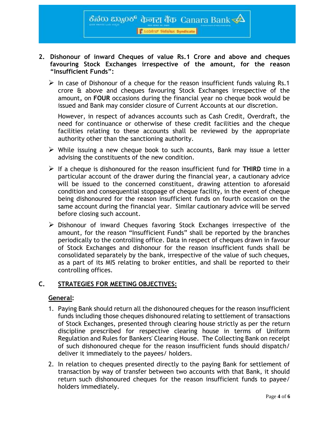**Cacadeur finalize Syndicate** 

ठैत $\phi$ का $\infty$ केलेला बैंक Canara Bank $\prec\!\!\Delta$ 

- **2. Dishonour of inward Cheques of value Rs.1 Crore and above and cheques favouring Stock Exchanges irrespective of the amount, for the reason "Insufficient Funds":**
	- $\triangleright$  In case of Dishonour of a cheque for the reason insufficient funds valuing Rs.1 crore & above and cheques favouring Stock Exchanges irrespective of the amount**,** on **FOUR** occasions during the financial year no cheque book would be issued and Bank may consider closure of Current Accounts at our discretion.

However, in respect of advances accounts such as Cash Credit, Overdraft, the need for continuance or otherwise of these credit facilities and the cheque facilities relating to these accounts shall be reviewed by the appropriate authority other than the sanctioning authority.

- $\triangleright$  While issuing a new cheque book to such accounts, Bank may issue a letter advising the constituents of the new condition.
- $\triangleright$  If a cheque is dishonoured for the reason insufficient fund for **THIRD** time in a particular account of the drawer during the financial year, a cautionary advice will be issued to the concerned constituent, drawing attention to aforesaid condition and consequential stoppage of cheque facility, in the event of cheque being dishonoured for the reason insufficient funds on fourth occasion on the same account during the financial year. Similar cautionary advice will be served before closing such account.
- $\triangleright$  Dishonour of inward Cheques favoring Stock Exchanges irrespective of the amount, for the reason "Insufficient Funds" shall be reported by the branches periodically to the controlling office. Data in respect of cheques drawn in favour of Stock Exchanges and dishonour for the reason insufficient funds shall be consolidated separately by the bank, irrespective of the value of such cheques, as a part of its MIS relating to broker entities, and shall be reported to their controlling offices.

#### **C. STRATEGIES FOR MEETING OBJECTIVES:**

#### **General:**

- 1. Paying Bank should return all the dishonoured cheques for the reason insufficient funds including those cheques dishonoured relating to settlement of transactions of Stock Exchanges, presented through clearing house strictly as per the return discipline prescribed for respective clearing house in terms of Uniform Regulation and Rules for Bankers' Clearing House. The Collecting Bank on receipt of such dishonoured cheque for the reason insufficient funds should dispatch/ deliver it immediately to the payees/ holders.
- 2. In relation to cheques presented directly to the paying Bank for settlement of transaction by way of transfer between two accounts with that Bank, it should return such dishonoured cheques for the reason insufficient funds to payee/ holders immediately.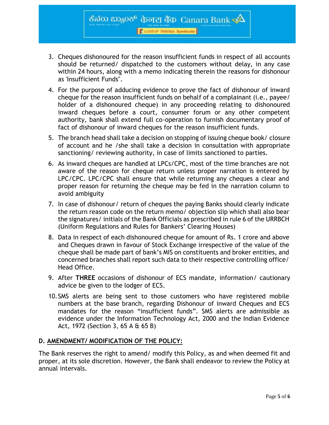**Cacadeur finalize Syndicate** 

ठैनेक हफ़्रु0रु केनरा बैंक Canara Bank $\overline{\blacktriangle}$ 

- 3. Cheques dishonoured for the reason insufficient funds in respect of all accounts should be returned/ dispatched to the customers without delay, in any case within 24 hours, along with a memo indicating therein the reasons for dishonour as 'Insufficient Funds".
- 4. For the purpose of adducing evidence to prove the fact of dishonour of inward cheque for the reason insufficient funds on behalf of a complainant (i.e., payee/ holder of a dishonoured cheque) in any proceeding relating to dishonoured inward cheques before a court, consumer forum or any other competent authority, bank shall extend full co-operation to furnish documentary proof of fact of dishonour of inward cheques for the reason insufficient funds.
- 5. The branch head shall take a decision on stopping of issuing cheque book/ closure of account and he /she shall take a decision in consultation with appropriate sanctioning/ reviewing authority, in case of limits sanctioned to parties.
- 6. As inward cheques are handled at LPCs/CPC, most of the time branches are not aware of the reason for cheque return unless proper narration is entered by LPC/CPC. LPC/CPC shall ensure that while returning any cheques a clear and proper reason for returning the cheque may be fed in the narration column to avoid ambiguity
- 7. In case of dishonour/ return of cheques the paying Banks should clearly indicate the return reason code on the return memo/ objection slip which shall also bear the signatures/ initials of the Bank Officials as prescribed in rule 6 of the URRBCH (Uniform Regulations and Rules for Bankers' Clearing Houses)
- 8. Data in respect of each dishonoured cheque for amount of Rs. 1 crore and above and Cheques drawn in favour of Stock Exchange irrespective of the value of the cheque shall be made part of bank's MIS on constituents and broker entities, and concerned branches shall report such data to their respective controlling office/ Head Office.
- 9. After **THREE** occasions of dishonour of ECS mandate, information/ cautionary advice be given to the lodger of ECS.
- 10.SMS alerts are being sent to those customers who have registered mobile numbers at the base branch, regarding Dishonour of inward Cheques and ECS mandates for the reason "insufficient funds". SMS alerts are admissible as evidence under the Information Technology Act, 2000 and the Indian Evidence Act, 1972 (Section 3, 65 A & 65 B)

#### **D. AMENDMENT/ MODIFICATION OF THE POLICY:**

The Bank reserves the right to amend/ modify this Policy, as and when deemed fit and proper, at its sole discretion. However, the Bank shall endeavor to review the Policy at annual intervals.